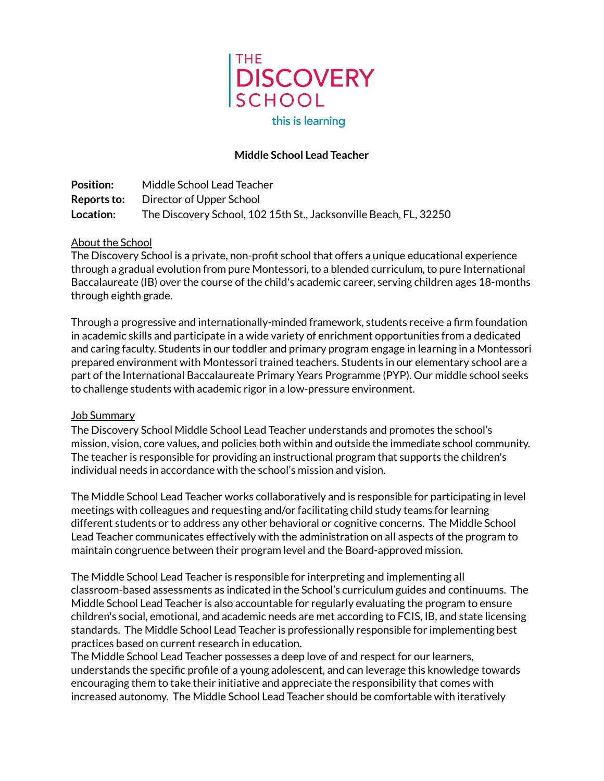

# **Middle School Lead Teacher**

**Position:** Middle School Lead Teacher **Reports to:** Director of Upper School **Location:** The Discovery School, 102 15th St., Jacksonville Beach, FL, 32250

### About the School

The Discovery School is a private, non-profit school that offers a unique educational experience through a gradual evolution from pure Montessori, to a blended curriculum, to pure International Baccalaureate (IB) over the course of the child's academic career, serving children ages 18-months through eighth grade.

Through a progressive and internationally-minded framework, students receive a firm foundation in academic skills and participate in a wide variety of enrichment opportunities from a dedicated and caring faculty. Students in our toddler and primary program engage in learning in a Montessori prepared environment with Montessori trained teachers. Students in our elementary school are a part of the International Baccalaureate Primary Years Programme (PYP). Our middle school seeks to challenge students with academic rigor in a low-pressure environment.

#### Job Summary

The Discovery School Middle School Lead Teacher understands and promotes the school's mission, vision, core values, and policies both within and outside the immediate school community. The teacher is responsible for providing an instructional program that supports the children's individual needs in accordance with the school's mission and vision.

The Middle School Lead Teacher works collaboratively and is responsible for participating in level meetings with colleagues and requesting and/or facilitating child study teams for learning different students or to address any other behavioral or cognitive concerns. The Middle School Lead Teacher communicates effectively with the administration on all aspects of the program to maintain congruence between their program level and the Board-approved mission.

The Middle School Lead Teacher is responsible for interpreting and implementing all classroom-based assessments as indicated in the School's curriculum guides and continuums. The Middle School Lead Teacher is also accountable for regularly evaluating the program to ensure children's social, emotional, and academic needs are met according to FCIS, IB, and state licensing standards. The Middle School Lead Teacher is professionally responsible for implementing best practices based on current research in education.

The Middle School Lead Teacher possesses a deep love of and respect for our learners, understands the specific profile of a young adolescent, and can leverage this knowledge towards encouraging them to take their initiative and appreciate the responsibility that comes with increased autonomy. The Middle School Lead Teacher should be comfortable with iteratively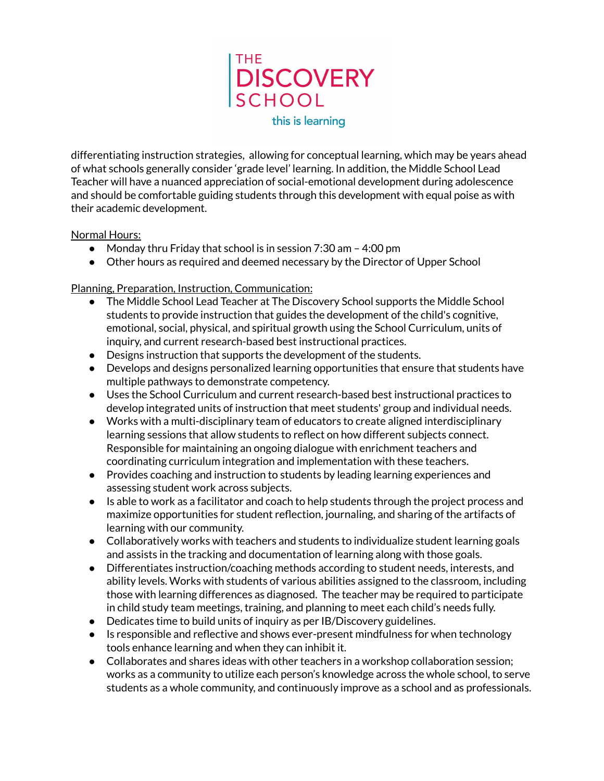

differentiating instruction strategies, allowing for conceptual learning, which may be years ahead of what schools generally consider 'grade level' learning. In addition, the Middle School Lead Teacher will have a nuanced appreciation of social-emotional development during adolescence and should be comfortable guiding students through this development with equal poise as with their academic development.

#### Normal Hours:

- Monday thru Friday that school is in session 7:30 am 4:00 pm
- Other hours as required and deemed necessary by the Director of Upper School

## Planning, Preparation, Instruction, Communication:

- The Middle School Lead Teacher at The Discovery School supports the Middle School students to provide instruction that guides the development of the child's cognitive, emotional, social, physical, and spiritual growth using the School Curriculum, units of inquiry, and current research-based best instructional practices.
- Designs instruction that supports the development of the students.
- Develops and designs personalized learning opportunities that ensure that students have multiple pathways to demonstrate competency.
- Uses the School Curriculum and current research-based best instructional practices to develop integrated units of instruction that meet students' group and individual needs.
- Works with a multi-disciplinary team of educators to create aligned interdisciplinary learning sessions that allow students to reflect on how different subjects connect. Responsible for maintaining an ongoing dialogue with enrichment teachers and coordinating curriculum integration and implementation with these teachers.
- Provides coaching and instruction to students by leading learning experiences and assessing student work across subjects.
- Is able to work as a facilitator and coach to help students through the project process and maximize opportunities for student reflection, journaling, and sharing of the artifacts of learning with our community.
- Collaboratively works with teachers and students to individualize student learning goals and assists in the tracking and documentation of learning along with those goals.
- Differentiates instruction/coaching methods according to student needs, interests, and ability levels. Works with students of various abilities assigned to the classroom, including those with learning differences as diagnosed. The teacher may be required to participate in child study team meetings, training, and planning to meet each child's needs fully.
- Dedicates time to build units of inquiry as per IB/Discovery guidelines.
- Is responsible and reflective and shows ever-present mindfulness for when technology tools enhance learning and when they can inhibit it.
- Collaborates and shares ideas with other teachers in a workshop collaboration session; works as a community to utilize each person's knowledge across the whole school, to serve students as a whole community, and continuously improve as a school and as professionals.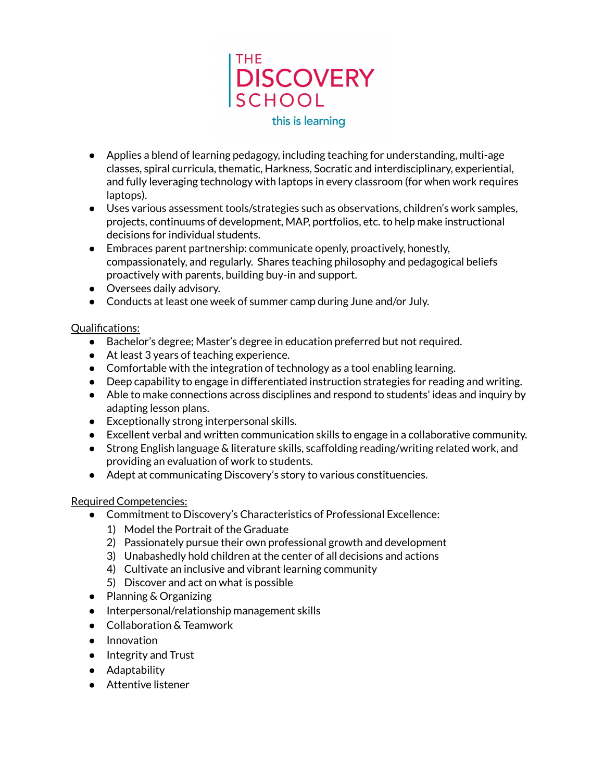

- Applies a blend of learning pedagogy, including teaching for understanding, multi-age classes, spiral curricula, thematic, Harkness, Socratic and interdisciplinary, experiential, and fully leveraging technology with laptops in every classroom (for when work requires laptops).
- Uses various assessment tools/strategies such as observations, children's work samples, projects, continuums of development, MAP, portfolios, etc. to help make instructional decisions for individual students.
- Embraces parent partnership: communicate openly, proactively, honestly, compassionately, and regularly. Shares teaching philosophy and pedagogical beliefs proactively with parents, building buy-in and support.
- Oversees daily advisory.
- Conducts at least one week of summer camp during June and/or July.

### Qualifications:

- Bachelor's degree; Master's degree in education preferred but not required.
- At least 3 years of teaching experience.
- Comfortable with the integration of technology as a tool enabling learning.
- Deep capability to engage in differentiated instruction strategies for reading and writing.
- Able to make connections across disciplines and respond to students' ideas and inquiry by adapting lesson plans.
- Exceptionally strong interpersonal skills.
- Excellent verbal and written communication skills to engage in a collaborative community.
- Strong English language & literature skills, scaffolding reading/writing related work, and providing an evaluation of work to students.
- Adept at communicating Discovery's story to various constituencies.

## Required Competencies:

- Commitment to Discovery's Characteristics of Professional Excellence:
	- 1) Model the Portrait of the Graduate
	- 2) Passionately pursue their own professional growth and development
	- 3) Unabashedly hold children at the center of all decisions and actions
	- 4) Cultivate an inclusive and vibrant learning community
	- 5) Discover and act on what is possible
- Planning & Organizing
- Interpersonal/relationship management skills
- Collaboration & Teamwork
- Innovation
- Integrity and Trust
- Adaptability
- Attentive listener